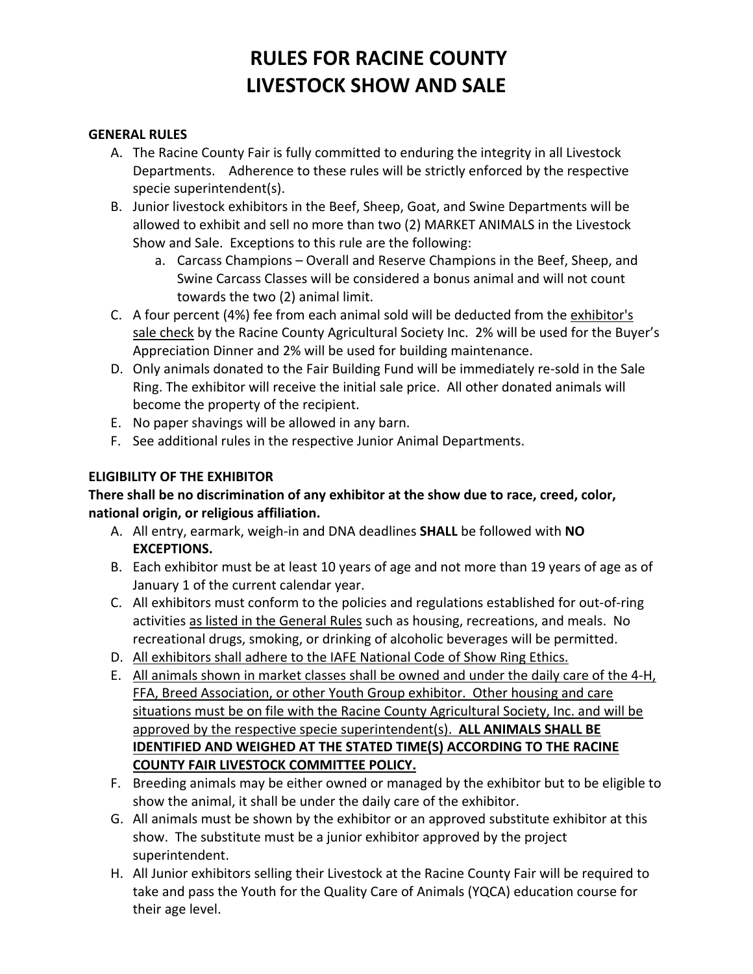# **RULES FOR RACINE COUNTY LIVESTOCK SHOW AND SALE**

#### **GENERAL RULES**

- A. The Racine County Fair is fully committed to enduring the integrity in all Livestock Departments. Adherence to these rules will be strictly enforced by the respective specie superintendent(s).
- B. Junior livestock exhibitors in the Beef, Sheep, Goat, and Swine Departments will be allowed to exhibit and sell no more than two (2) MARKET ANIMALS in the Livestock Show and Sale. Exceptions to this rule are the following:
	- a. Carcass Champions Overall and Reserve Champions in the Beef, Sheep, and Swine Carcass Classes will be considered a bonus animal and will not count towards the two (2) animal limit.
- C. A four percent (4%) fee from each animal sold will be deducted from the exhibitor's sale check by the Racine County Agricultural Society Inc. 2% will be used for the Buyer's Appreciation Dinner and 2% will be used for building maintenance.
- D. Only animals donated to the Fair Building Fund will be immediately re-sold in the Sale Ring. The exhibitor will receive the initial sale price. All other donated animals will become the property of the recipient.
- E. No paper shavings will be allowed in any barn.
- F. See additional rules in the respective Junior Animal Departments.

#### **ELIGIBILITY OF THE EXHIBITOR**

#### **There shall be no discrimination of any exhibitor at the show due to race, creed, color, national origin, or religious affiliation.**

- A. All entry, earmark, weigh-in and DNA deadlines **SHALL** be followed with **NO EXCEPTIONS.**
- B. Each exhibitor must be at least 10 years of age and not more than 19 years of age as of January 1 of the current calendar year.
- C. All exhibitors must conform to the policies and regulations established for out-of-ring activities as listed in the General Rules such as housing, recreations, and meals. No recreational drugs, smoking, or drinking of alcoholic beverages will be permitted.
- D. All exhibitors shall adhere to the IAFE National Code of Show Ring Ethics.
- E. All animals shown in market classes shall be owned and under the daily care of the 4-H, FFA, Breed Association, or other Youth Group exhibitor. Other housing and care situations must be on file with the Racine County Agricultural Society, Inc. and will be approved by the respective specie superintendent(s). **ALL ANIMALS SHALL BE IDENTIFIED AND WEIGHED AT THE STATED TIME(S) ACCORDING TO THE RACINE COUNTY FAIR LIVESTOCK COMMITTEE POLICY.**
- F. Breeding animals may be either owned or managed by the exhibitor but to be eligible to show the animal, it shall be under the daily care of the exhibitor.
- G. All animals must be shown by the exhibitor or an approved substitute exhibitor at this show. The substitute must be a junior exhibitor approved by the project superintendent.
- H. All Junior exhibitors selling their Livestock at the Racine County Fair will be required to take and pass the Youth for the Quality Care of Animals (YQCA) education course for their age level.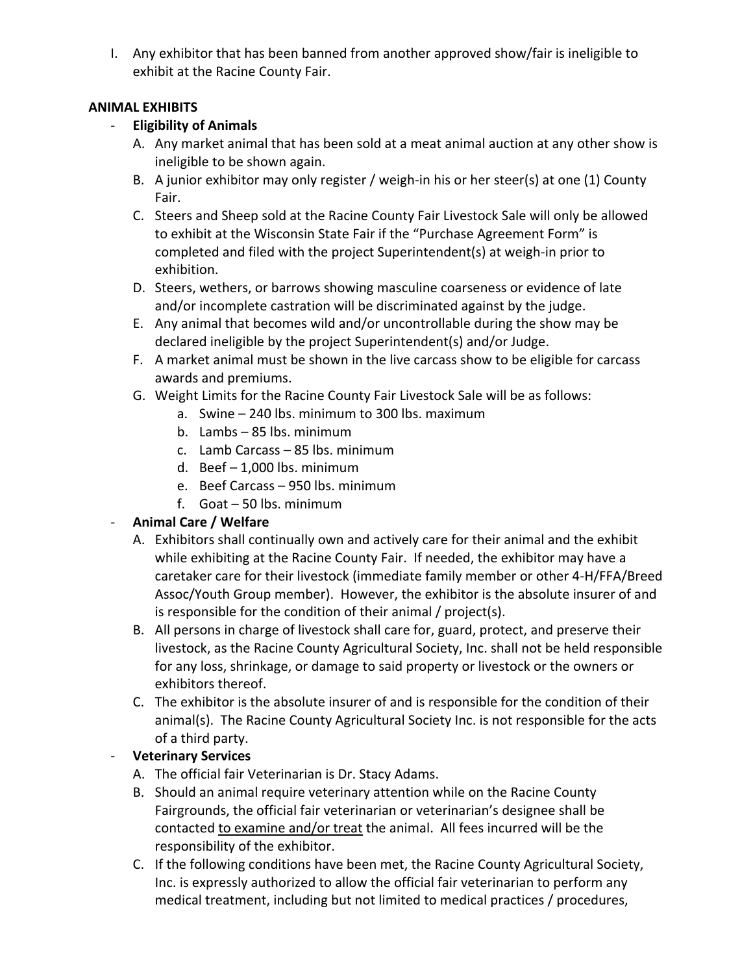I. Any exhibitor that has been banned from another approved show/fair is ineligible to exhibit at the Racine County Fair.

### **ANIMAL EXHIBITS**

### - **Eligibility of Animals**

- A. Any market animal that has been sold at a meat animal auction at any other show is ineligible to be shown again.
- B. A junior exhibitor may only register / weigh-in his or her steer(s) at one (1) County Fair.
- C. Steers and Sheep sold at the Racine County Fair Livestock Sale will only be allowed to exhibit at the Wisconsin State Fair if the "Purchase Agreement Form" is completed and filed with the project Superintendent(s) at weigh-in prior to exhibition.
- D. Steers, wethers, or barrows showing masculine coarseness or evidence of late and/or incomplete castration will be discriminated against by the judge.
- E. Any animal that becomes wild and/or uncontrollable during the show may be declared ineligible by the project Superintendent(s) and/or Judge.
- F. A market animal must be shown in the live carcass show to be eligible for carcass awards and premiums.
- G. Weight Limits for the Racine County Fair Livestock Sale will be as follows:
	- a. Swine 240 lbs. minimum to 300 lbs. maximum
	- b. Lambs 85 lbs. minimum
	- c. Lamb Carcass 85 lbs. minimum
	- d. Beef 1,000 lbs. minimum
	- e. Beef Carcass 950 lbs. minimum
	- f. Goat 50 lbs. minimum

# - **Animal Care / Welfare**

- A. Exhibitors shall continually own and actively care for their animal and the exhibit while exhibiting at the Racine County Fair. If needed, the exhibitor may have a caretaker care for their livestock (immediate family member or other 4-H/FFA/Breed Assoc/Youth Group member). However, the exhibitor is the absolute insurer of and is responsible for the condition of their animal / project(s).
- B. All persons in charge of livestock shall care for, guard, protect, and preserve their livestock, as the Racine County Agricultural Society, Inc. shall not be held responsible for any loss, shrinkage, or damage to said property or livestock or the owners or exhibitors thereof.
- C. The exhibitor is the absolute insurer of and is responsible for the condition of their animal(s). The Racine County Agricultural Society Inc. is not responsible for the acts of a third party.

# - **Veterinary Services**

- A. The official fair Veterinarian is Dr. Stacy Adams.
- B. Should an animal require veterinary attention while on the Racine County Fairgrounds, the official fair veterinarian or veterinarian's designee shall be contacted to examine and/or treat the animal. All fees incurred will be the responsibility of the exhibitor.
- C. If the following conditions have been met, the Racine County Agricultural Society, Inc. is expressly authorized to allow the official fair veterinarian to perform any medical treatment, including but not limited to medical practices / procedures,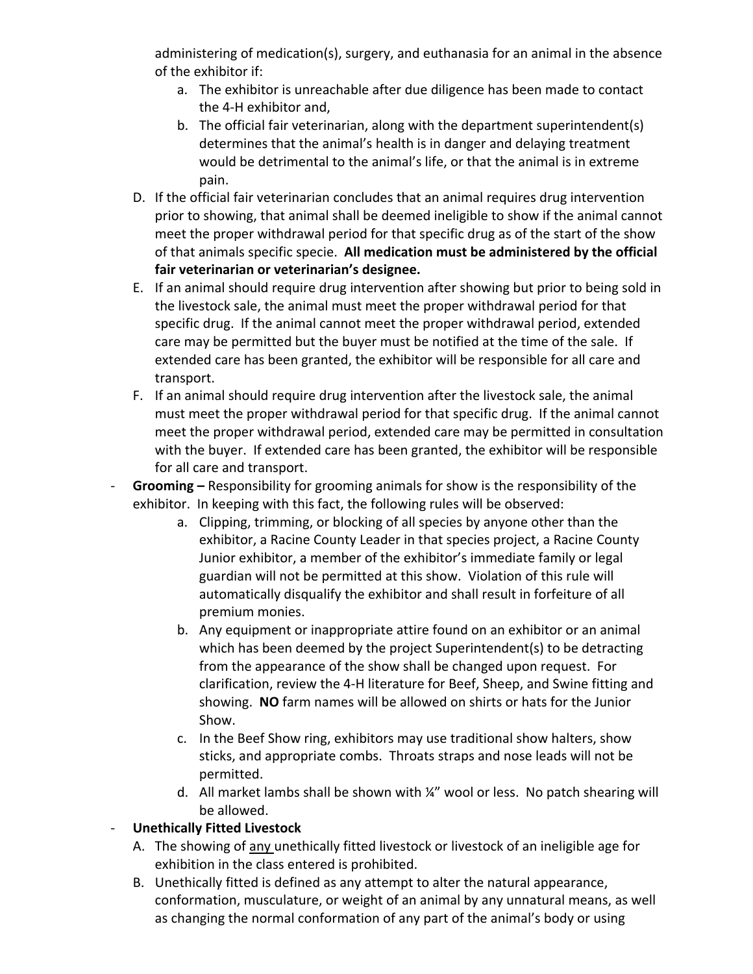administering of medication(s), surgery, and euthanasia for an animal in the absence of the exhibitor if:

- a. The exhibitor is unreachable after due diligence has been made to contact the 4-H exhibitor and,
- b. The official fair veterinarian, along with the department superintendent(s) determines that the animal's health is in danger and delaying treatment would be detrimental to the animal's life, or that the animal is in extreme pain.
- D. If the official fair veterinarian concludes that an animal requires drug intervention prior to showing, that animal shall be deemed ineligible to show if the animal cannot meet the proper withdrawal period for that specific drug as of the start of the show of that animals specific specie. **All medication must be administered by the official fair veterinarian or veterinarian's designee.**
- E. If an animal should require drug intervention after showing but prior to being sold in the livestock sale, the animal must meet the proper withdrawal period for that specific drug. If the animal cannot meet the proper withdrawal period, extended care may be permitted but the buyer must be notified at the time of the sale. If extended care has been granted, the exhibitor will be responsible for all care and transport.
- F. If an animal should require drug intervention after the livestock sale, the animal must meet the proper withdrawal period for that specific drug. If the animal cannot meet the proper withdrawal period, extended care may be permitted in consultation with the buyer. If extended care has been granted, the exhibitor will be responsible for all care and transport.
- **Grooming –** Responsibility for grooming animals for show is the responsibility of the exhibitor. In keeping with this fact, the following rules will be observed:
	- a. Clipping, trimming, or blocking of all species by anyone other than the exhibitor, a Racine County Leader in that species project, a Racine County Junior exhibitor, a member of the exhibitor's immediate family or legal guardian will not be permitted at this show. Violation of this rule will automatically disqualify the exhibitor and shall result in forfeiture of all premium monies.
	- b. Any equipment or inappropriate attire found on an exhibitor or an animal which has been deemed by the project Superintendent(s) to be detracting from the appearance of the show shall be changed upon request. For clarification, review the 4-H literature for Beef, Sheep, and Swine fitting and showing. **NO** farm names will be allowed on shirts or hats for the Junior Show.
	- c. In the Beef Show ring, exhibitors may use traditional show halters, show sticks, and appropriate combs. Throats straps and nose leads will not be permitted.
	- d. All market lambs shall be shown with ¼" wool or less. No patch shearing will be allowed.

# - **Unethically Fitted Livestock**

- A. The showing of any unethically fitted livestock or livestock of an ineligible age for exhibition in the class entered is prohibited.
- B. Unethically fitted is defined as any attempt to alter the natural appearance, conformation, musculature, or weight of an animal by any unnatural means, as well as changing the normal conformation of any part of the animal's body or using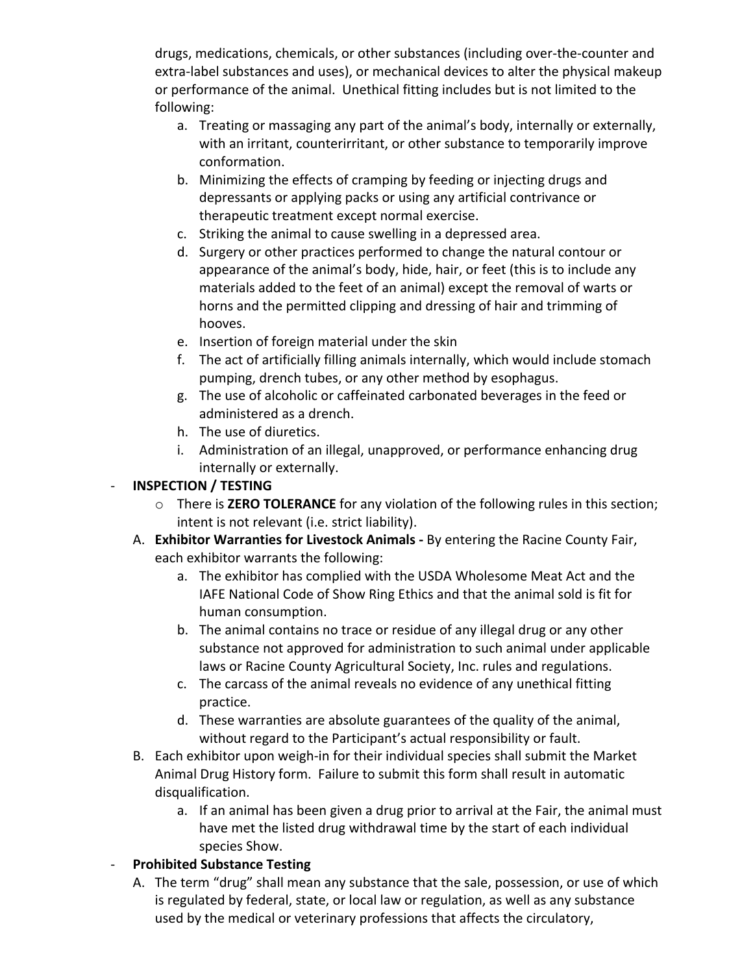drugs, medications, chemicals, or other substances (including over-the-counter and extra-label substances and uses), or mechanical devices to alter the physical makeup or performance of the animal. Unethical fitting includes but is not limited to the following:

- a. Treating or massaging any part of the animal's body, internally or externally, with an irritant, counterirritant, or other substance to temporarily improve conformation.
- b. Minimizing the effects of cramping by feeding or injecting drugs and depressants or applying packs or using any artificial contrivance or therapeutic treatment except normal exercise.
- c. Striking the animal to cause swelling in a depressed area.
- d. Surgery or other practices performed to change the natural contour or appearance of the animal's body, hide, hair, or feet (this is to include any materials added to the feet of an animal) except the removal of warts or horns and the permitted clipping and dressing of hair and trimming of hooves.
- e. Insertion of foreign material under the skin
- f. The act of artificially filling animals internally, which would include stomach pumping, drench tubes, or any other method by esophagus.
- g. The use of alcoholic or caffeinated carbonated beverages in the feed or administered as a drench.
- h. The use of diuretics.
- i. Administration of an illegal, unapproved, or performance enhancing drug internally or externally.

### - **INSPECTION / TESTING**

- o There is **ZERO TOLERANCE** for any violation of the following rules in this section; intent is not relevant (i.e. strict liability).
- A. **Exhibitor Warranties for Livestock Animals -** By entering the Racine County Fair, each exhibitor warrants the following:
	- a. The exhibitor has complied with the USDA Wholesome Meat Act and the IAFE National Code of Show Ring Ethics and that the animal sold is fit for human consumption.
	- b. The animal contains no trace or residue of any illegal drug or any other substance not approved for administration to such animal under applicable laws or Racine County Agricultural Society, Inc. rules and regulations.
	- c. The carcass of the animal reveals no evidence of any unethical fitting practice.
	- d. These warranties are absolute guarantees of the quality of the animal, without regard to the Participant's actual responsibility or fault.
- B. Each exhibitor upon weigh-in for their individual species shall submit the Market Animal Drug History form. Failure to submit this form shall result in automatic disqualification.
	- a. If an animal has been given a drug prior to arrival at the Fair, the animal must have met the listed drug withdrawal time by the start of each individual species Show.

# - **Prohibited Substance Testing**

A. The term "drug" shall mean any substance that the sale, possession, or use of which is regulated by federal, state, or local law or regulation, as well as any substance used by the medical or veterinary professions that affects the circulatory,